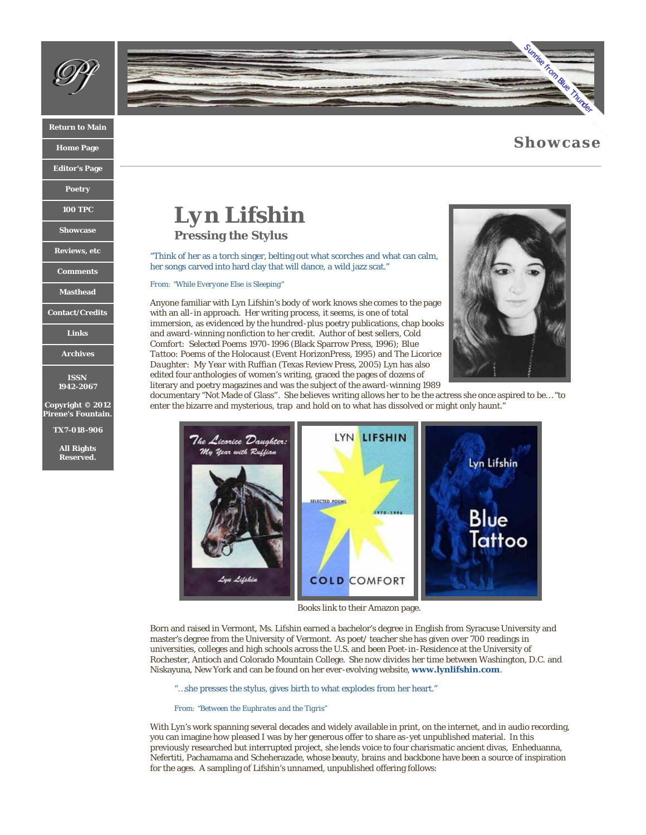

### **[Return to Main](http://www.pirenesfountain.com/index.html)**

**[Home Page](http://www.pirenesfountain.com/archives/issue_11/index.html)**

**[Editor's Page](http://www.pirenesfountain.com/archives/issue_11/editors_page.html)**

**[Poetry](http://www.pirenesfountain.com/archives/issue_11/poetry.html)**

**[100 TPC](http://www.pirenesfountain.com/archives/issue_11/100tpc.html)**

**[Showcase](http://www.pirenesfountain.com/archives/issue_11/showcase.html)**

**[Reviews, etc](http://www.pirenesfountain.com/archives/issue_11/reviews-etc.html)**

**[Comments](http://www.pirenesfountain.com/archives/issue_11/comments.html)**

**[Masthead](http://www.pirenesfountain.com/archives/issue_11/masthead.html)**

**[Contact/Credits](http://www.pirenesfountain.com/archives/issue_11/contact_credits.html)**

**[Links](http://www.pirenesfountain.com/archives/issue_11/links.html)**

**[Archives](http://www.pirenesfountain.com/archives/issue_11/archives.html)**

**ISSN 1942-2067**

**Copyright © 2012 Pirene's Fountain.**

**TX7-018-906**

**All Rights Reserved.**



# **[Showcase](http://www.lulu.com/product/paperback/sunrise-from-blue-thunder/18777045?productTrackingContext=search_results/search_shelf/center/1)**

*Lyn Lifshin*

**Pressing the Stylus**

"Think of her as a torch singer, belting out what scorches and what can calm, her songs carved into hard clay that will dance, a wild jazz scat."

*From: "While Everyone Else is Sleeping"*

Anyone familiar with Lyn Lifshin's body of work knows she comes to the page with an all-in approach. Her writing process, it seems, is one of total immersion, as evidenced by the hundred-plus poetry publications, chap books and award-winning nonfiction to her credit. Author of best sellers*, Cold Comfort: Selected Poems 1970-1996* (Black Sparrow Press, 1996*); Blue Tattoo: Poems of the Holocaust* (Event HorizonPress, 1995*)* and *The Licorice Daughter: My Year with Ruffian* (Texas Review Press, 2005) Lyn has also edited four anthologies of women's writing, graced the pages of dozens of literary and poetry magazines and was the subject of the award-winning 1989



documentary "Not Made of Glass"*.* She believes writing allows her to be the actress she once aspired to be… "to enter the bizarre and mysterious, trap and hold on to what has dissolved or might only haunt."



Books link to their Amazon page.

Born and raised in Vermont, Ms. Lifshin earned a bachelor's degree in English from Syracuse University and master's degree from the University of Vermont. As poet/ teacher she has given over 700 readings in universities, colleges and high schools across the U.S. and been Poet-in-Residence at the University of Rochester, Antioch and Colorado Mountain College. She now divides her time between Washington, D.C. and Niskayuna, New York and can be found on her ever-evolving website, **[www.lynlifshin.com](http://www.lynlifshin.com/)**.

"…she presses the stylus, gives birth to what explodes from her heart."

*From: "Between the Euphrates and the Tigris"*

With Lyn's work spanning several decades and widely available in print, on the internet, and in audio recording, you can imagine how pleased I was by her generous offer to share as-yet unpublished material. In this previously researched but interrupted project, she lends voice to four charismatic ancient divas, Enheduanna, Nefertiti, Pachamama and Scheherazade, whose beauty, brains and backbone have been a source of inspiration for the ages. A sampling of Lifshin's unnamed, unpublished offering follows: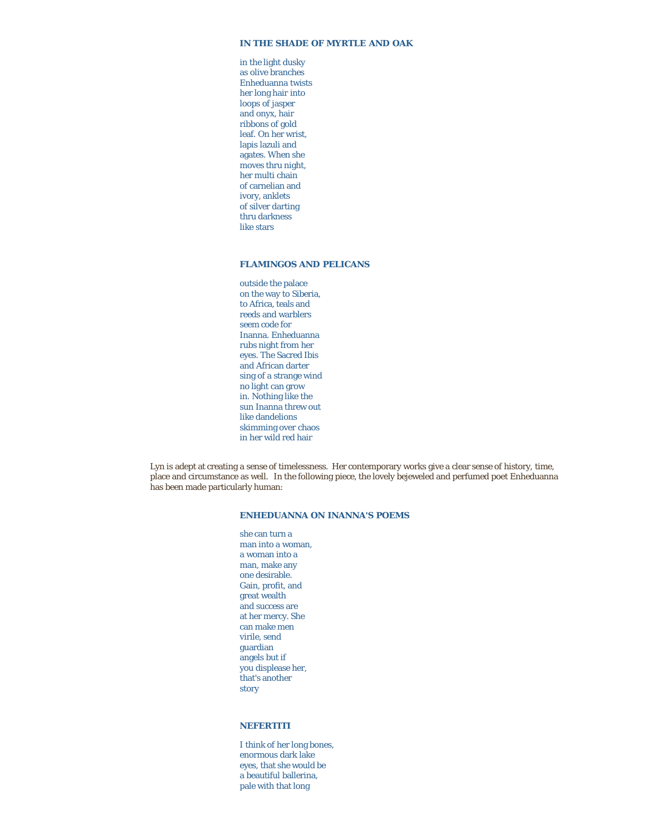### **IN THE SHADE OF MYRTLE AND OAK**

in the light dusky as olive branches Enheduanna twists her long hair into loops of jasper and onyx, hair ribbons of gold leaf. On her wrist, lapis lazuli and agates. When she moves thru night, her multi chain of carnelian and ivory, anklets of silver darting thru darkness like stars

### **FLAMINGOS AND PELICANS**

outside the palace on the way to Siberia, to Africa, teals and reeds and warblers seem code for Inanna. Enheduanna rubs night from her eyes. The Sacred Ibis and African darter sing of a strange wind no light can grow in. Nothing like the sun Inanna threw out like dandelions skimming over chaos in her wild red hair

Lyn is adept at creating a sense of timelessness. Her contemporary works give a clear sense of history, time, place and circumstance as well. In the following piece, the lovely bejeweled and perfumed poet Enheduanna has been made particularly human:

## **ENHEDUANNA ON INANNA'S POEMS**

she can turn a man into a woman, a woman into a man, make any one desirable. Gain, profit, and great wealth and success are at her mercy. She can make men virile, send guardian angels but if you displease her, that's another story

#### **NEFERTITI**

I think of her long bones, enormous dark lake eyes, that she would be a beautiful ballerina, pale with that long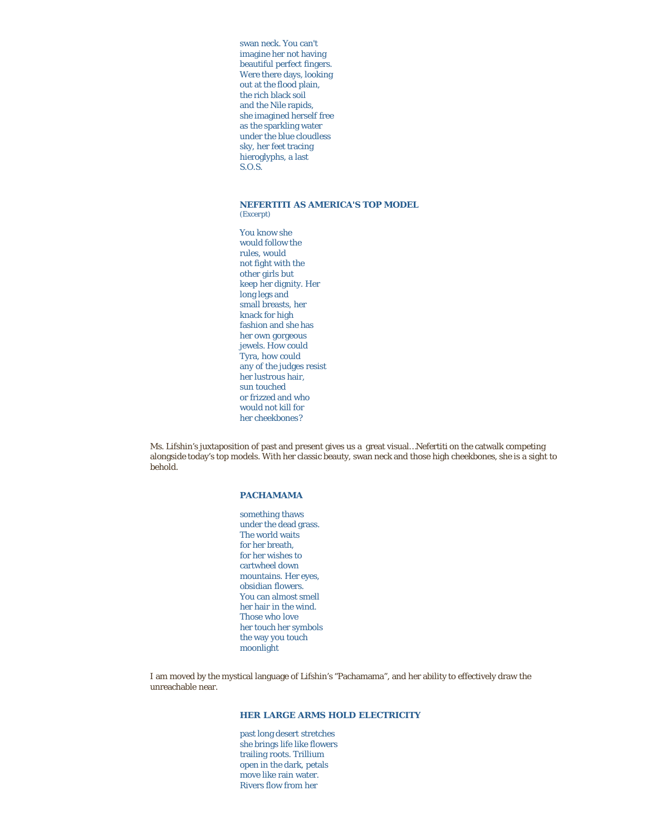swan neck. You can't imagine her not having beautiful perfect fingers. Were there days, looking out at the flood plain, the rich black soil and the Nile rapids, she imagined herself free as the sparkling water under the blue cloudless sky, her feet tracing hieroglyphs, a last S.O.S.

# **NEFERTITI AS AMERICA'S TOP MODEL**

*(Excerpt)*

You know she would follow the rules, would not fight with the other girls but keep her dignity. Her long legs and small breasts, her knack for high fashion and she has her own gorgeous jewels. How could Tyra, how could any of the judges resist her lustrous hair, sun touched or frizzed and who would not kill for her cheekbones?

Ms. Lifshin's juxtaposition of past and present gives us a great visual…Nefertiti on the catwalk competing alongside today's top models. With her classic beauty, swan neck and those high cheekbones, she is a sight to behold.

### **PACHAMAMA**

something thaws under the dead grass. The world waits for her breath, for her wishes to cartwheel down mountains. Her eyes, obsidian flowers. You can almost smell her hair in the wind. Those who love her touch her symbols the way you touch moonlight

I am moved by the mystical language of Lifshin's "Pachamama", and her ability to effectively draw the unreachable near.

## **HER LARGE ARMS HOLD ELECTRICITY**

past long desert stretches she brings life like flowers trailing roots. Trillium open in the dark, petals move like rain water. Rivers flow from her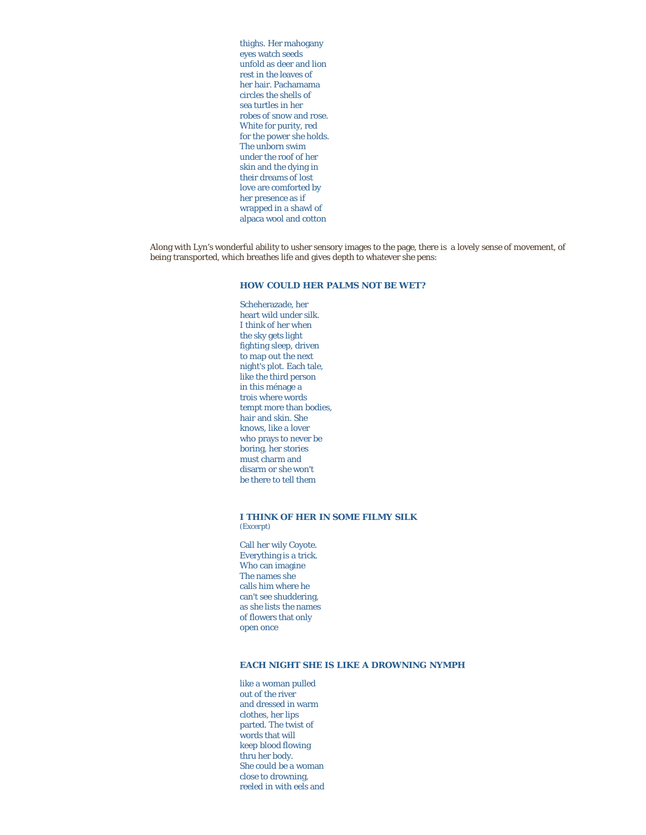thighs. Her mahogany eyes watch seeds unfold as deer and lion rest in the leaves of her hair. Pachamama circles the shells of sea turtles in her robes of snow and rose. White for purity, red for the power she holds. The unborn swim under the roof of her skin and the dying in their dreams of lost love are comforted by her presence as if wrapped in a shawl of alpaca wool and cotton

Along with Lyn's wonderful ability to usher sensory images to the page, there is a lovely sense of movement, of being transported, which breathes life and gives depth to whatever she pens:

# **HOW COULD HER PALMS NOT BE WET?**

Scheherazade, her heart wild under silk. I think of her when the sky gets light fighting sleep, driven to map out the next night's plot. Each tale, like the third person in this ménage a trois where words tempt more than bodies, hair and skin. She knows, like a lover who prays to never be boring, her stories must charm and disarm or she won't be there to tell them

#### **I THINK OF HER IN SOME FILMY SILK** *(Excerpt)*

Call her wily Coyote. Everything is a trick. Who can imagine The names she calls him where he can't see shuddering, as she lists the names of flowers that only open once

### **EACH NIGHT SHE IS LIKE A DROWNING NYMPH**

like a woman pulled out of the river and dressed in warm clothes, her lips parted. The twist of words that will keep blood flowing thru her body. She could be a woman close to drowning, reeled in with eels and